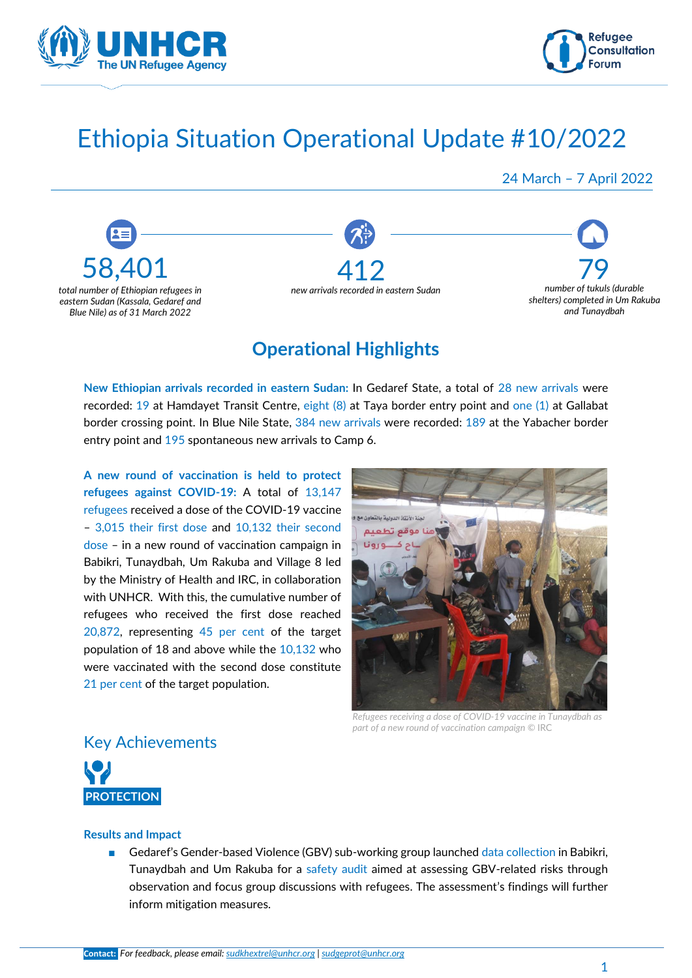



# Ethiopia Situation Operational Update #10/2022

24 March – 7 April 2022



### **Operational Highlights**

**New Ethiopian arrivals recorded in eastern Sudan:** In Gedaref State, a total of 28 new arrivals were recorded: 19 at Hamdayet Transit Centre, eight (8) at Taya border entry point and one (1) at Gallabat border crossing point. In Blue Nile State, 384 new arrivals were recorded: 189 at the Yabacher border entry point and 195 spontaneous new arrivals to Camp 6.

**A new round of vaccination is held to protect refugees against COVID-19:** A total of 13,147 refugees received a dose of the COVID-19 vaccine – 3,015 their first dose and 10,132 their second dose – in a new round of vaccination campaign in Babikri, Tunaydbah, Um Rakuba and Village 8 led by the Ministry of Health and IRC, in collaboration with UNHCR. With this, the cumulative number of refugees who received the first dose reached 20,872, representing 45 per cent of the target population of 18 and above while the 10,132 who were vaccinated with the second dose constitute 21 per cent of the target population.



*Refugees receiving a dose of COVID-19 vaccine in Tunaydbah as part of a new round of vaccination campaign ©* IRC

### Key Achievements

![](_page_0_Picture_11.jpeg)

#### **Results and Impact**

■ Gedaref's Gender-based Violence (GBV) sub-working group launched data collection in Babikri, Tunaydbah and Um Rakuba for a safety audit aimed at assessing GBV-related risks through observation and focus group discussions with refugees. The assessment's findings will further inform mitigation measures.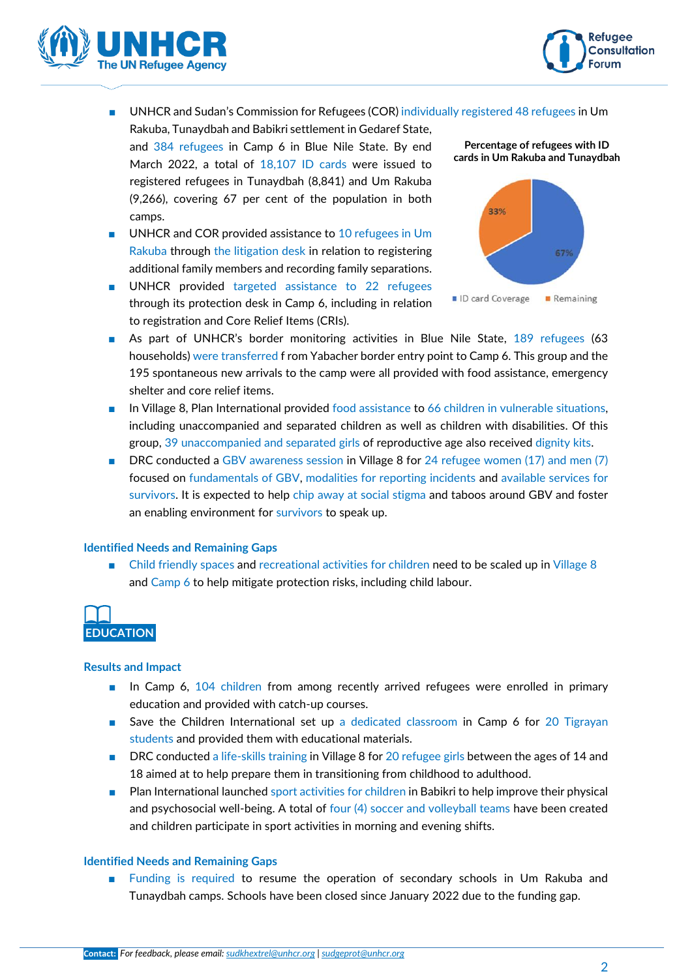![](_page_1_Picture_0.jpeg)

![](_page_1_Picture_1.jpeg)

- UNHCR and Sudan's Commission for Refugees (COR) individually registered 48 refugees in Um
- Rakuba, Tunaydbah and Babikri settlement in Gedaref State, and 384 refugees in Camp 6 in Blue Nile State. By end March 2022, a total of 18,107 ID cards were issued to registered refugees in Tunaydbah (8,841) and Um Rakuba (9,266), covering 67 per cent of the population in both camps.
- UNHCR and COR provided assistance to 10 refugees in Um Rakuba through the litigation desk in relation to registering additional family members and recording family separations.
- UNHCR provided targeted assistance to 22 refugees through its protection desk in Camp 6, including in relation to registration and Core Relief Items (CRIs).

![](_page_1_Figure_6.jpeg)

![](_page_1_Figure_7.jpeg)

- As part of UNHCR's border monitoring activities in Blue Nile State, 189 refugees (63 households) were transferred f rom Yabacher border entry point to Camp 6. This group and the 195 spontaneous new arrivals to the camp were all provided with food assistance, emergency shelter and core relief items.
- In Village 8, Plan International provided food assistance to 66 children in vulnerable situations, including unaccompanied and separated children as well as children with disabilities. Of this group, 39 unaccompanied and separated girls of reproductive age also received dignity kits.
- DRC conducted a GBV awareness session in Village 8 for 24 refugee women (17) and men (7) focused on fundamentals of GBV, modalities for reporting incidents and available services for survivors. It is expected to help chip away at social stigma and taboos around GBV and foster an enabling environment for survivors to speak up.

#### **Identified Needs and Remaining Gaps**

■ Child friendly spaces and recreational activities for children need to be scaled up in Village 8 and Camp 6 to help mitigate protection risks, including child labour.

![](_page_1_Picture_13.jpeg)

#### **Results and Impact**

- In Camp 6, 104 children from among recently arrived refugees were enrolled in primary education and provided with catch-up courses.
- Save the Children International set up a dedicated classroom in Camp 6 for 20 Tigrayan students and provided them with educational materials.
- DRC conducted a life-skills training in Village 8 for 20 refugee girls between the ages of 14 and 18 aimed at to help prepare them in transitioning from childhood to adulthood.
- Plan International launched sport activities for children in Babikri to help improve their physical and psychosocial well-being. A total of four (4) soccer and volleyball teams have been created and children participate in sport activities in morning and evening shifts.

#### **Identified Needs and Remaining Gaps**

Funding is required to resume the operation of secondary schools in Um Rakuba and Tunaydbah camps. Schools have been closed since January 2022 due to the funding gap.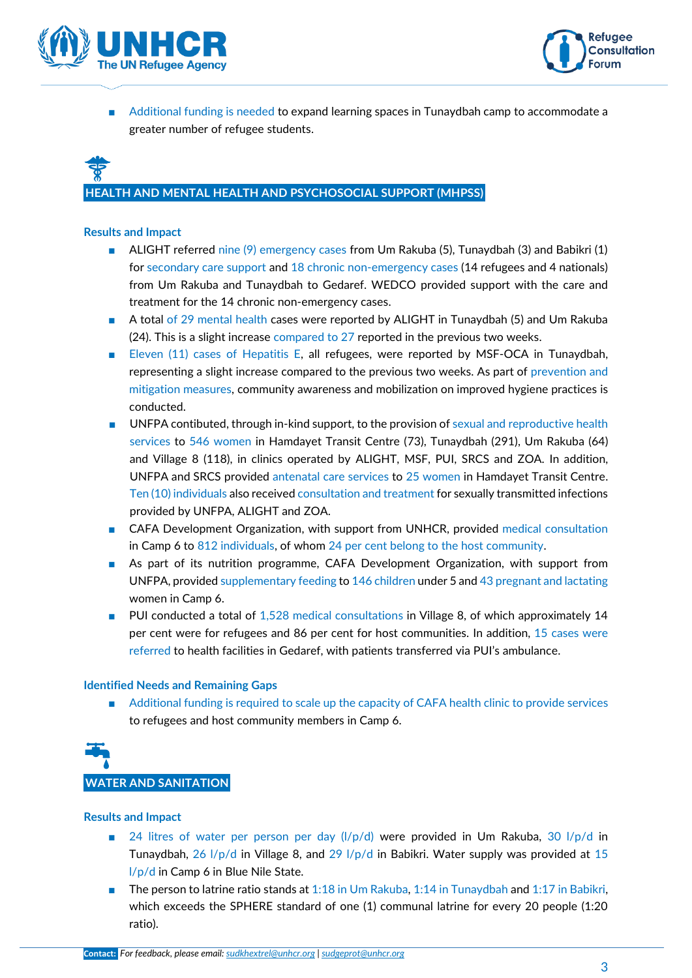![](_page_2_Picture_0.jpeg)

![](_page_2_Picture_1.jpeg)

■ Additional funding is needed to expand learning spaces in Tunaydbah camp to accommodate a greater number of refugee students.

# **HEALTH AND MENTAL HEALTH AND PSYCHOSOCIAL SUPPORT (MHPSS)**

#### **Results and Impact**

- ALIGHT referred nine (9) emergency cases from Um Rakuba (5), Tunaydbah (3) and Babikri (1) for secondary care support and 18 chronic non-emergency cases (14 refugees and 4 nationals) from Um Rakuba and Tunaydbah to Gedaref. WEDCO provided support with the care and treatment for the 14 chronic non-emergency cases.
- A total of 29 mental health cases were reported by ALIGHT in Tunaydbah (5) and Um Rakuba (24). This is a slight increase compared to 27 reported in the previous two weeks.
- Eleven (11) cases of Hepatitis E, all refugees, were reported by MSF-OCA in Tunaydbah, representing a slight increase compared to the previous two weeks. As part of prevention and mitigation measures, community awareness and mobilization on improved hygiene practices is conducted.
- UNFPA contibuted, through in-kind support, to the provision of sexual and reproductive health services to 546 women in Hamdayet Transit Centre (73), Tunaydbah (291), Um Rakuba (64) and Village 8 (118), in clinics operated by ALIGHT, MSF, PUI, SRCS and ZOA. In addition, UNFPA and SRCS provided antenatal care services to 25 women in Hamdayet Transit Centre. Ten (10) individuals also received consultation and treatment for sexually transmitted infections provided by UNFPA, ALIGHT and ZOA.
- CAFA Development Organization, with support from UNHCR, provided medical consultation in Camp 6 to 812 individuals, of whom 24 per cent belong to the host community.
- As part of its nutrition programme, CAFA Development Organization, with support from UNFPA, provided supplementary feeding to 146 children under 5 and 43 pregnant and lactating women in Camp 6.
- PUI conducted a total of 1,528 medical consultations in Village 8, of which approximately 14 per cent were for refugees and 86 per cent for host communities. In addition, 15 cases were referred to health facilities in Gedaref, with patients transferred via PUI's ambulance.

#### **Identified Needs and Remaining Gaps**

Additional funding is required to scale up the capacity of CAFA health clinic to provide services to refugees and host community members in Camp 6.

![](_page_2_Picture_14.jpeg)

#### **Results and Impact**

- 24 litres of water per person per day  $\left(\frac{1}{p}\right)$  were provided in Um Rakuba, 30  $\left(\frac{1}{p}\right)$  in Tunaydbah, 26  $1/p/d$  in Village 8, and 29  $1/p/d$  in Babikri. Water supply was provided at 15 l/p/d in Camp 6 in Blue Nile State.
- The person to latrine ratio stands at 1:18 in Um Rakuba, 1:14 in Tunaydbah and 1:17 in Babikri, which exceeds the SPHERE standard of one (1) communal latrine for every 20 people (1:20 ratio).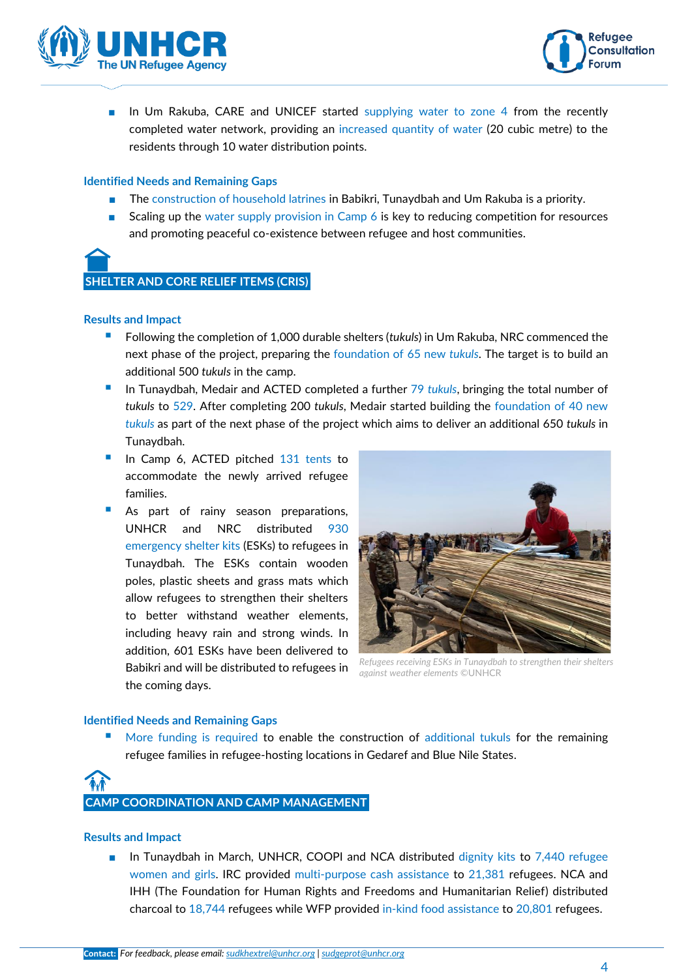![](_page_3_Picture_0.jpeg)

![](_page_3_Picture_1.jpeg)

■ In Um Rakuba, CARE and UNICEF started supplying water to zone 4 from the recently completed water network, providing an increased quantity of water (20 cubic metre) to the residents through 10 water distribution points.

#### **Identified Needs and Remaining Gaps**

- The construction of household latrines in Babikri, Tunaydbah and Um Rakuba is a priority.
- Scaling up the water supply provision in Camp 6 is key to reducing competition for resources and promoting peaceful co-existence between refugee and host communities.

![](_page_3_Picture_6.jpeg)

#### **SHELTER AND CORE RELIEF ITEMS (CRIS)**

#### **Results and Impact**

- Following the completion of 1,000 durable shelters (*tukuls*) in Um Rakuba, NRC commenced the next phase of the project, preparing the foundation of 65 new *tukuls*. The target is to build an additional 500 *tukuls* in the camp.
- In Tunaydbah, Medair and ACTED completed a further 79 *tukuls*, bringing the total number of *tukuls* to 529. After completing 200 *tukuls*, Medair started building the foundation of 40 new *tukuls* as part of the next phase of the project which aims to deliver an additional 650 *tukuls* in Tunaydbah.
- In Camp 6, ACTED pitched 131 tents to accommodate the newly arrived refugee families.
- **B** As part of rainy season preparations, UNHCR and NRC distributed 930 emergency shelter kits (ESKs) to refugees in Tunaydbah. The ESKs contain wooden poles, plastic sheets and grass mats which allow refugees to strengthen their shelters to better withstand weather elements, including heavy rain and strong winds. In addition, 601 ESKs have been delivered to Babikri and will be distributed to refugees in the coming days.

![](_page_3_Picture_13.jpeg)

*Refugees receiving ESKs in Tunaydbah to strengthen their shelters against weather elements ©*UNHCR

#### **Identified Needs and Remaining Gaps**

More funding is required to enable the construction of additional tukuls for the remaining refugee families in refugee-hosting locations in Gedaref and Blue Nile States.

# **CAMP COORDINATION AND CAMP MANAGEMENT**

#### **Results and Impact**

■ In Tunaydbah in March, UNHCR, COOPI and NCA distributed dignity kits to 7,440 refugee women and girls. IRC provided multi-purpose cash assistance to 21,381 refugees. NCA and IHH (The Foundation for Human Rights and Freedoms and Humanitarian Relief) distributed charcoal to 18,744 refugees while WFP provided in-kind food assistance to 20,801 refugees.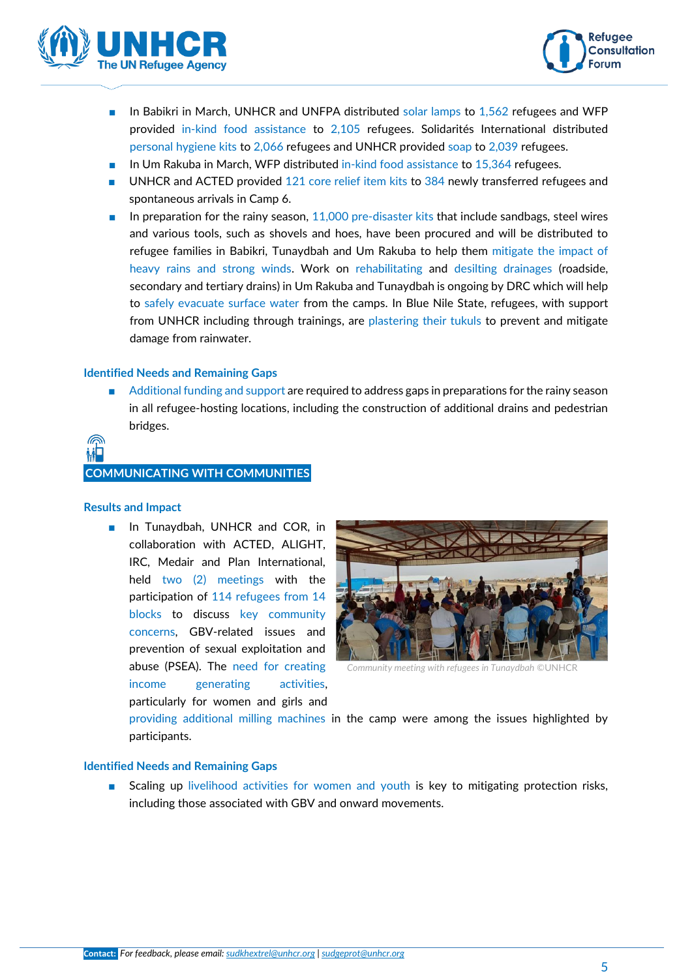![](_page_4_Picture_0.jpeg)

![](_page_4_Picture_1.jpeg)

- In Babikri in March, UNHCR and UNFPA distributed solar lamps to 1,562 refugees and WFP provided in-kind food assistance to 2,105 refugees. Solidarités International distributed personal hygiene kits to 2,066 refugees and UNHCR provided soap to 2,039 refugees.
- In Um Rakuba in March, WFP distributed in-kind food assistance to 15,364 refugees.
- UNHCR and ACTED provided 121 core relief item kits to 384 newly transferred refugees and spontaneous arrivals in Camp 6.
- In preparation for the rainy season, 11,000 pre-disaster kits that include sandbags, steel wires and various tools, such as shovels and hoes, have been procured and will be distributed to refugee families in Babikri, Tunaydbah and Um Rakuba to help them mitigate the impact of heavy rains and strong winds. Work on rehabilitating and desilting drainages (roadside, secondary and tertiary drains) in Um Rakuba and Tunaydbah is ongoing by DRC which will help to safely evacuate surface water from the camps. In Blue Nile State, refugees, with support from UNHCR including through trainings, are plastering their tukuls to prevent and mitigate damage from rainwater.

#### **Identified Needs and Remaining Gaps**

Additional funding and support are required to address gaps in preparations for the rainy season in all refugee-hosting locations, including the construction of additional drains and pedestrian bridges.

# **COMMUNICATING WITH COMMUNITIES**

#### **Results and Impact**

■ In Tunaydbah, UNHCR and COR, in collaboration with ACTED, ALIGHT, IRC, Medair and Plan International, held two (2) meetings with the participation of 114 refugees from 14 blocks to discuss key community concerns, GBV-related issues and prevention of sexual exploitation and abuse (PSEA). The need for creating income generating activities, particularly for women and girls and

![](_page_4_Picture_11.jpeg)

*Community meeting with refugees in Tunaydbah ©*UNHCR

providing additional milling machines in the camp were among the issues highlighted by participants.

#### **Identified Needs and Remaining Gaps**

Scaling up livelihood activities for women and youth is key to mitigating protection risks, including those associated with GBV and onward movements.